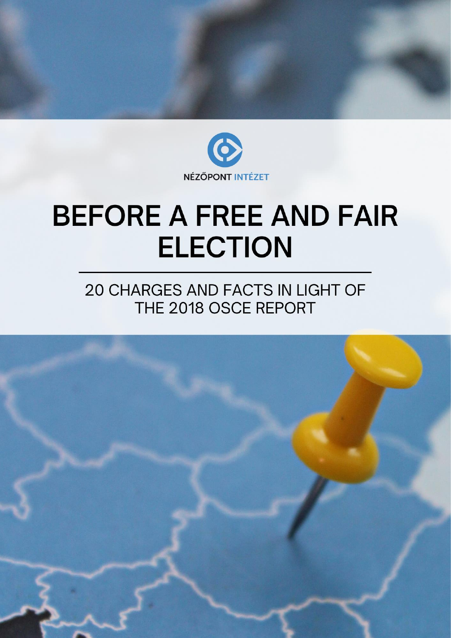

# **BEFORE A FREE AND FAIR ELECTION**

# 20 CHARGES AND FACTS IN LIGHT OF THE 2018 OSCE REPORT

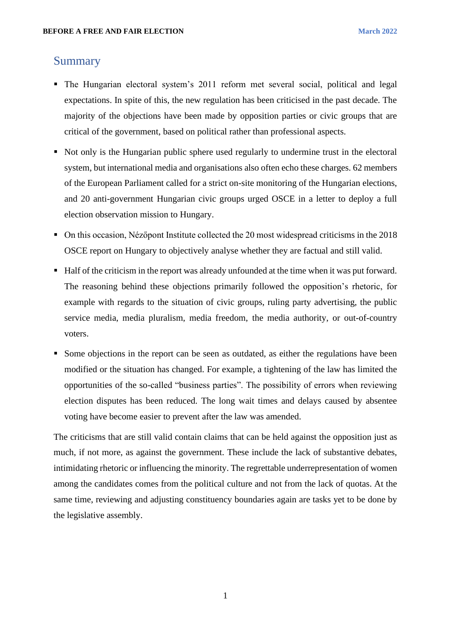#### <span id="page-1-0"></span>Summary

- The Hungarian electoral system's 2011 reform met several social, political and legal expectations. In spite of this, the new regulation has been criticised in the past decade. The majority of the objections have been made by opposition parties or civic groups that are critical of the government, based on political rather than professional aspects.
- Not only is the Hungarian public sphere used regularly to undermine trust in the electoral system, but international media and organisations also often echo these charges. 62 members of the European Parliament called for a strict on-site monitoring of the Hungarian elections, and 20 anti-government Hungarian civic groups urged OSCE in a letter to deploy a full election observation mission to Hungary.
- On this occasion, Nézőpont Institute collected the 20 most widespread criticisms in the 2018 OSCE report on Hungary to objectively analyse whether they are factual and still valid.
- Half of the criticism in the report was already unfounded at the time when it was put forward. The reasoning behind these objections primarily followed the opposition's rhetoric, for example with regards to the situation of civic groups, ruling party advertising, the public service media, media pluralism, media freedom, the media authority, or out-of-country voters.
- Some objections in the report can be seen as outdated, as either the regulations have been modified or the situation has changed. For example, a tightening of the law has limited the opportunities of the so-called "business parties". The possibility of errors when reviewing election disputes has been reduced. The long wait times and delays caused by absentee voting have become easier to prevent after the law was amended.

The criticisms that are still valid contain claims that can be held against the opposition just as much, if not more, as against the government. These include the lack of substantive debates, intimidating rhetoric or influencing the minority. The regrettable underrepresentation of women among the candidates comes from the political culture and not from the lack of quotas. At the same time, reviewing and adjusting constituency boundaries again are tasks yet to be done by the legislative assembly.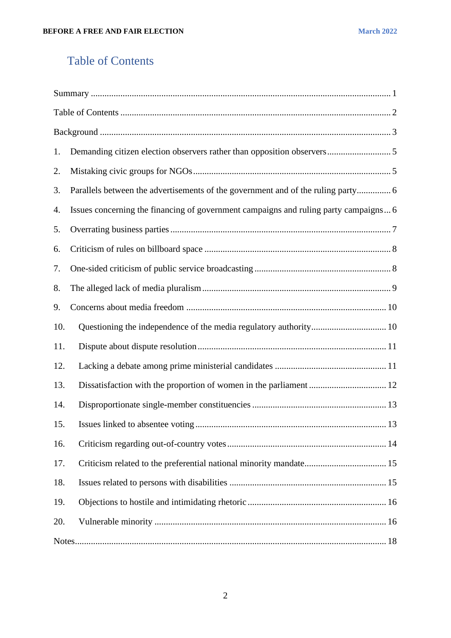# <span id="page-2-0"></span>Table of Contents

| 1.  |                                                                                      |
|-----|--------------------------------------------------------------------------------------|
| 2.  |                                                                                      |
| 3.  | Parallels between the advertisements of the government and of the ruling party 6     |
| 4.  | Issues concerning the financing of government campaigns and ruling party campaigns 6 |
| 5.  |                                                                                      |
| 6.  |                                                                                      |
| 7.  |                                                                                      |
| 8.  |                                                                                      |
| 9.  |                                                                                      |
| 10. |                                                                                      |
| 11. |                                                                                      |
| 12. |                                                                                      |
| 13. |                                                                                      |
| 14. |                                                                                      |
| 15. |                                                                                      |
| 16. |                                                                                      |
| 17. |                                                                                      |
| 18. |                                                                                      |
| 19. |                                                                                      |
| 20. |                                                                                      |
|     |                                                                                      |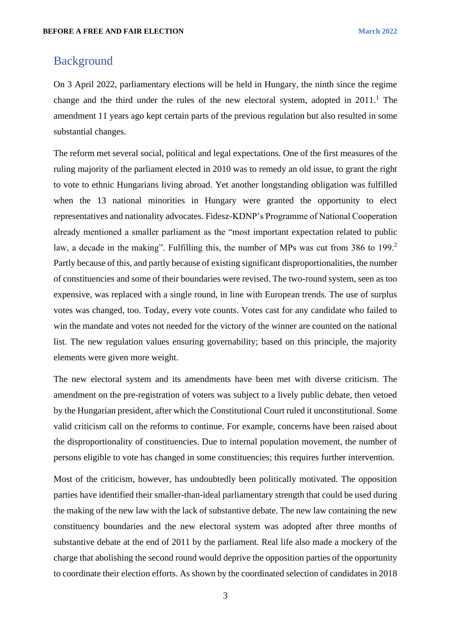#### <span id="page-3-0"></span>Background

On 3 April 2022, parliamentary elections will be held in Hungary, the ninth since the regime change and the third under the rules of the new electoral system, adopted in  $2011<sup>1</sup>$ . The amendment 11 years ago kept certain parts of the previous regulation but also resulted in some substantial changes.

The reform met several social, political and legal expectations. One of the first measures of the ruling majority of the parliament elected in 2010 was to remedy an old issue, to grant the right to vote to ethnic Hungarians living abroad. Yet another longstanding obligation was fulfilled when the 13 national minorities in Hungary were granted the opportunity to elect representatives and nationality advocates. Fidesz-KDNP's Programme of National Cooperation already mentioned a smaller parliament as the "most important expectation related to public law, a decade in the making". Fulfilling this, the number of MPs was cut from 386 to 199.<sup>2</sup> Partly because of this, and partly because of existing significant disproportionalities, the number of constituencies and some of their boundaries were revised. The two-round system, seen as too expensive, was replaced with a single round, in line with European trends. The use of surplus votes was changed, too. Today, every vote counts. Votes cast for any candidate who failed to win the mandate and votes not needed for the victory of the winner are counted on the national list. The new regulation values ensuring governability; based on this principle, the majority elements were given more weight.

The new electoral system and its amendments have been met with diverse criticism. The amendment on the pre-registration of voters was subject to a lively public debate, then vetoed by the Hungarian president, after which the Constitutional Court ruled it unconstitutional. Some valid criticism call on the reforms to continue. For example, concerns have been raised about the disproportionality of constituencies. Due to internal population movement, the number of persons eligible to vote has changed in some constituencies; this requires further intervention.

Most of the criticism, however, has undoubtedly been politically motivated. The opposition parties have identified their smaller-than-ideal parliamentary strength that could be used during the making of the new law with the lack of substantive debate. The new law containing the new constituency boundaries and the new electoral system was adopted after three months of substantive debate at the end of 2011 by the parliament. Real life also made a mockery of the charge that abolishing the second round would deprive the opposition parties of the opportunity to coordinate their election efforts. As shown by the coordinated selection of candidates in 2018

3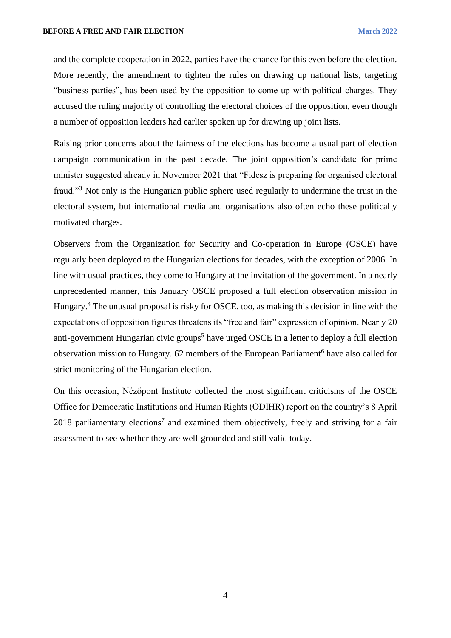and the complete cooperation in 2022, parties have the chance for this even before the election. More recently, the amendment to tighten the rules on drawing up national lists, targeting "business parties", has been used by the opposition to come up with political charges. They accused the ruling majority of controlling the electoral choices of the opposition, even though a number of opposition leaders had earlier spoken up for drawing up joint lists.

Raising prior concerns about the fairness of the elections has become a usual part of election campaign communication in the past decade. The joint opposition's candidate for prime minister suggested already in November 2021 that "Fidesz is preparing for organised electoral fraud."<sup>3</sup> Not only is the Hungarian public sphere used regularly to undermine the trust in the electoral system, but international media and organisations also often echo these politically motivated charges.

Observers from the Organization for Security and Co-operation in Europe (OSCE) have regularly been deployed to the Hungarian elections for decades, with the exception of 2006. In line with usual practices, they come to Hungary at the invitation of the government. In a nearly unprecedented manner, this January OSCE proposed a full election observation mission in Hungary.<sup>4</sup> The unusual proposal is risky for OSCE, too, as making this decision in line with the expectations of opposition figures threatens its "free and fair" expression of opinion. Nearly 20 anti-government Hungarian civic groups<sup>5</sup> have urged OSCE in a letter to deploy a full election observation mission to Hungary. 62 members of the European Parliament<sup>6</sup> have also called for strict monitoring of the Hungarian election.

On this occasion, Nézőpont Institute collected the most significant criticisms of the OSCE Office for Democratic Institutions and Human Rights (ODIHR) report on the country's 8 April 2018 parliamentary elections<sup>7</sup> and examined them objectively, freely and striving for a fair assessment to see whether they are well-grounded and still valid today.

4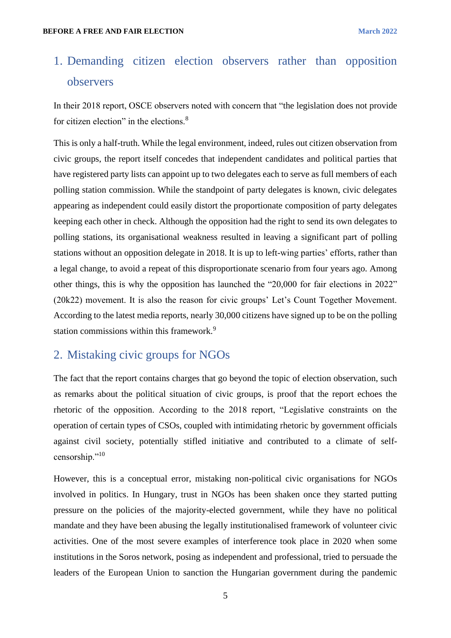# <span id="page-5-0"></span>1. Demanding citizen election observers rather than opposition observers

In their 2018 report, OSCE observers noted with concern that "the legislation does not provide for citizen election" in the elections.<sup>8</sup>

This is only a half-truth. While the legal environment, indeed, rules out citizen observation from civic groups, the report itself concedes that independent candidates and political parties that have registered party lists can appoint up to two delegates each to serve as full members of each polling station commission. While the standpoint of party delegates is known, civic delegates appearing as independent could easily distort the proportionate composition of party delegates keeping each other in check. Although the opposition had the right to send its own delegates to polling stations, its organisational weakness resulted in leaving a significant part of polling stations without an opposition delegate in 2018. It is up to left-wing parties' efforts, rather than a legal change, to avoid a repeat of this disproportionate scenario from four years ago. Among other things, this is why the opposition has launched the "20,000 for fair elections in 2022" (20k22) movement. It is also the reason for civic groups' Let's Count Together Movement. According to the latest media reports, nearly 30,000 citizens have signed up to be on the polling station commissions within this framework.<sup>9</sup>

# <span id="page-5-1"></span>2. Mistaking civic groups for NGOs

The fact that the report contains charges that go beyond the topic of election observation, such as remarks about the political situation of civic groups, is proof that the report echoes the rhetoric of the opposition. According to the 2018 report, "Legislative constraints on the operation of certain types of CSOs, coupled with intimidating rhetoric by government officials against civil society, potentially stifled initiative and contributed to a climate of selfcensorship."<sup>10</sup>

However, this is a conceptual error, mistaking non-political civic organisations for NGOs involved in politics. In Hungary, trust in NGOs has been shaken once they started putting pressure on the policies of the majority-elected government, while they have no political mandate and they have been abusing the legally institutionalised framework of volunteer civic activities. One of the most severe examples of interference took place in 2020 when some institutions in the Soros network, posing as independent and professional, tried to persuade the leaders of the European Union to sanction the Hungarian government during the pandemic

5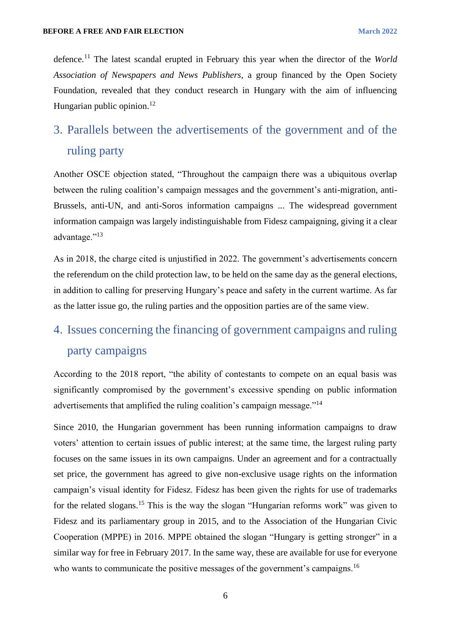defence.<sup>11</sup> The latest scandal erupted in February this year when the director of the *World Association of Newspapers and News Publishers,* a group financed by the Open Society Foundation, revealed that they conduct research in Hungary with the aim of influencing Hungarian public opinion. $12$ 

# <span id="page-6-0"></span>3. Parallels between the advertisements of the government and of the ruling party

Another OSCE objection stated, "Throughout the campaign there was a ubiquitous overlap between the ruling coalition's campaign messages and the government's anti-migration, anti-Brussels, anti-UN, and anti-Soros information campaigns ... The widespread government information campaign was largely indistinguishable from Fidesz campaigning, giving it a clear advantage."<sup>13</sup>

As in 2018, the charge cited is unjustified in 2022. The government's advertisements concern the referendum on the child protection law, to be held on the same day as the general elections, in addition to calling for preserving Hungary's peace and safety in the current wartime. As far as the latter issue go, the ruling parties and the opposition parties are of the same view.

# <span id="page-6-1"></span>4. Issues concerning the financing of government campaigns and ruling party campaigns

According to the 2018 report, "the ability of contestants to compete on an equal basis was significantly compromised by the government's excessive spending on public information advertisements that amplified the ruling coalition's campaign message."<sup>14</sup>

Since 2010, the Hungarian government has been running information campaigns to draw voters' attention to certain issues of public interest; at the same time, the largest ruling party focuses on the same issues in its own campaigns. Under an agreement and for a contractually set price, the government has agreed to give non-exclusive usage rights on the information campaign's visual identity for Fidesz. Fidesz has been given the rights for use of trademarks for the related slogans.<sup>15</sup> This is the way the slogan "Hungarian reforms work" was given to Fidesz and its parliamentary group in 2015, and to the Association of the Hungarian Civic Cooperation (MPPE) in 2016. MPPE obtained the slogan "Hungary is getting stronger" in a similar way for free in February 2017. In the same way, these are available for use for everyone who wants to communicate the positive messages of the government's campaigns.<sup>16</sup>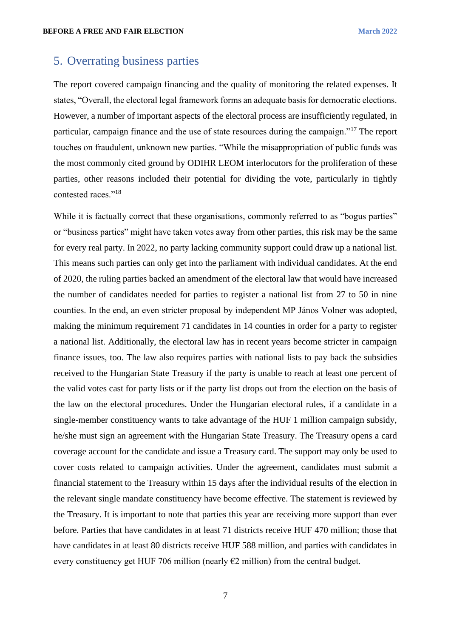# <span id="page-7-0"></span>5. Overrating business parties

The report covered campaign financing and the quality of monitoring the related expenses. It states, "Overall, the electoral legal framework forms an adequate basis for democratic elections. However, a number of important aspects of the electoral process are insufficiently regulated, in particular, campaign finance and the use of state resources during the campaign."<sup>17</sup> The report touches on fraudulent, unknown new parties. "While the misappropriation of public funds was the most commonly cited ground by ODIHR LEOM interlocutors for the proliferation of these parties, other reasons included their potential for dividing the vote, particularly in tightly contested races."<sup>18</sup>

While it is factually correct that these organisations, commonly referred to as "bogus parties" or "business parties" might have taken votes away from other parties, this risk may be the same for every real party. In 2022, no party lacking community support could draw up a national list. This means such parties can only get into the parliament with individual candidates. At the end of 2020, the ruling parties backed an amendment of the electoral law that would have increased the number of candidates needed for parties to register a national list from 27 to 50 in nine counties. In the end, an even stricter proposal by independent MP János Volner was adopted, making the minimum requirement 71 candidates in 14 counties in order for a party to register a national list. Additionally, the electoral law has in recent years become stricter in campaign finance issues, too. The law also requires parties with national lists to pay back the subsidies received to the Hungarian State Treasury if the party is unable to reach at least one percent of the valid votes cast for party lists or if the party list drops out from the election on the basis of the law on the electoral procedures. Under the Hungarian electoral rules, if a candidate in a single-member constituency wants to take advantage of the HUF 1 million campaign subsidy, he/she must sign an agreement with the Hungarian State Treasury. The Treasury opens a card coverage account for the candidate and issue a Treasury card. The support may only be used to cover costs related to campaign activities. Under the agreement, candidates must submit a financial statement to the Treasury within 15 days after the individual results of the election in the relevant single mandate constituency have become effective. The statement is reviewed by the Treasury. It is important to note that parties this year are receiving more support than ever before. Parties that have candidates in at least 71 districts receive HUF 470 million; those that have candidates in at least 80 districts receive HUF 588 million, and parties with candidates in every constituency get HUF 706 million (nearly  $E2$  million) from the central budget.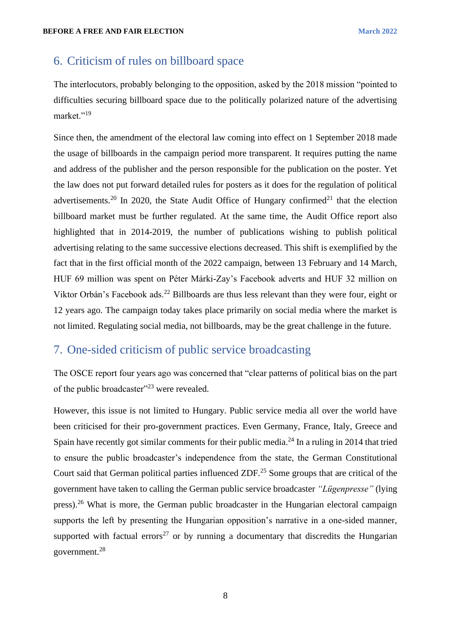# <span id="page-8-0"></span>6. Criticism of rules on billboard space

The interlocutors, probably belonging to the opposition, asked by the 2018 mission "pointed to difficulties securing billboard space due to the politically polarized nature of the advertising market."<sup>19</sup>

Since then, the amendment of the electoral law coming into effect on 1 September 2018 made the usage of billboards in the campaign period more transparent. It requires putting the name and address of the publisher and the person responsible for the publication on the poster. Yet the law does not put forward detailed rules for posters as it does for the regulation of political advertisements.<sup>20</sup> In 2020, the State Audit Office of Hungary confirmed<sup>21</sup> that the election billboard market must be further regulated. At the same time, the Audit Office report also highlighted that in 2014-2019, the number of publications wishing to publish political advertising relating to the same successive elections decreased. This shift is exemplified by the fact that in the first official month of the 2022 campaign, between 13 February and 14 March, HUF 69 million was spent on Péter Márki-Zay's Facebook adverts and HUF 32 million on Viktor Orbán's Facebook ads.<sup>22</sup> Billboards are thus less relevant than they were four, eight or 12 years ago. The campaign today takes place primarily on social media where the market is not limited. Regulating social media, not billboards, may be the great challenge in the future.

# <span id="page-8-1"></span>7. One-sided criticism of public service broadcasting

The OSCE report four years ago was concerned that "clear patterns of political bias on the part of the public broadcaster"<sup>23</sup> were revealed.

However, this issue is not limited to Hungary. Public service media all over the world have been criticised for their pro-government practices. Even Germany, France, Italy, Greece and Spain have recently got similar comments for their public media.<sup>24</sup> In a ruling in 2014 that tried to ensure the public broadcaster's independence from the state, the German Constitutional Court said that German political parties influenced ZDF.<sup>25</sup> Some groups that are critical of the government have taken to calling the German public service broadcaster *"Lügenpresse"* (lying press).<sup>26</sup> What is more, the German public broadcaster in the Hungarian electoral campaign supports the left by presenting the Hungarian opposition's narrative in a one-sided manner, supported with factual errors<sup>27</sup> or by running a documentary that discredits the Hungarian government.<sup>28</sup>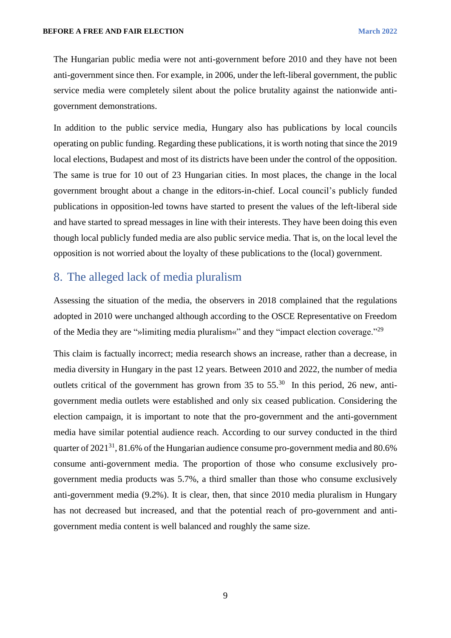The Hungarian public media were not anti-government before 2010 and they have not been anti-government since then. For example, in 2006, under the left-liberal government, the public service media were completely silent about the police brutality against the nationwide antigovernment demonstrations.

In addition to the public service media, Hungary also has publications by local councils operating on public funding. Regarding these publications, it is worth noting that since the 2019 local elections, Budapest and most of its districts have been under the control of the opposition. The same is true for 10 out of 23 Hungarian cities. In most places, the change in the local government brought about a change in the editors-in-chief. Local council's publicly funded publications in opposition-led towns have started to present the values of the left-liberal side and have started to spread messages in line with their interests. They have been doing this even though local publicly funded media are also public service media. That is, on the local level the opposition is not worried about the loyalty of these publications to the (local) government.

### <span id="page-9-0"></span>8. The alleged lack of media pluralism

Assessing the situation of the media, the observers in 2018 complained that the regulations adopted in 2010 were unchanged although according to the OSCE Representative on Freedom of the Media they are "»limiting media pluralism«" and they "impact election coverage."<sup>29</sup>

This claim is factually incorrect; media research shows an increase, rather than a decrease, in media diversity in Hungary in the past 12 years. Between 2010 and 2022, the number of media outlets critical of the government has grown from  $35$  to  $55<sup>30</sup>$  In this period, 26 new, antigovernment media outlets were established and only six ceased publication. Considering the election campaign, it is important to note that the pro-government and the anti-government media have similar potential audience reach. According to our survey conducted in the third quarter of  $2021^{31}$ ,  $81.6\%$  of the Hungarian audience consume pro-government media and 80.6% consume anti-government media. The proportion of those who consume exclusively progovernment media products was 5.7%, a third smaller than those who consume exclusively anti-government media (9.2%). It is clear, then, that since 2010 media pluralism in Hungary has not decreased but increased, and that the potential reach of pro-government and antigovernment media content is well balanced and roughly the same size.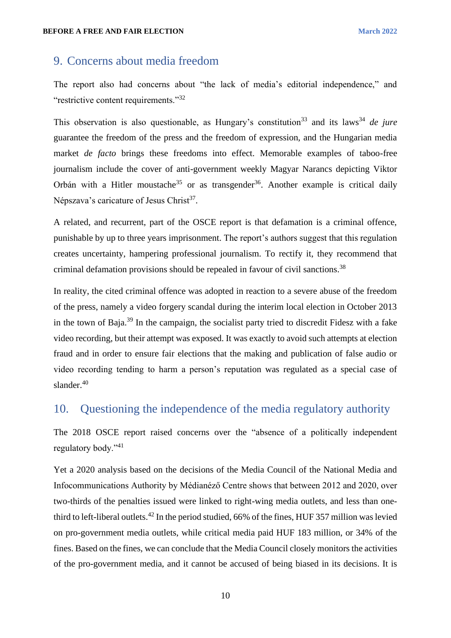#### <span id="page-10-0"></span>9. Concerns about media freedom

The report also had concerns about "the lack of media's editorial independence," and "restrictive content requirements."<sup>32</sup>

This observation is also questionable, as Hungary's constitution<sup>33</sup> and its laws<sup>34</sup> *de jure* guarantee the freedom of the press and the freedom of expression, and the Hungarian media market *de facto* brings these freedoms into effect. Memorable examples of taboo-free journalism include the cover of anti-government weekly Magyar Narancs depicting Viktor Orbán with a Hitler moustache<sup>35</sup> or as transgender<sup>36</sup>. Another example is critical daily Népszava's caricature of Jesus Christ<sup>37</sup>.

A related, and recurrent, part of the OSCE report is that defamation is a criminal offence, punishable by up to three years imprisonment. The report's authors suggest that this regulation creates uncertainty, hampering professional journalism. To rectify it, they recommend that criminal defamation provisions should be repealed in favour of civil sanctions.<sup>38</sup>

In reality, the cited criminal offence was adopted in reaction to a severe abuse of the freedom of the press, namely a video forgery scandal during the interim local election in October 2013 in the town of Baja.<sup>39</sup> In the campaign, the socialist party tried to discredit Fidesz with a fake video recording, but their attempt was exposed. It was exactly to avoid such attempts at election fraud and in order to ensure fair elections that the making and publication of false audio or video recording tending to harm a person's reputation was regulated as a special case of slander.<sup>40</sup>

# <span id="page-10-1"></span>10. Questioning the independence of the media regulatory authority

The 2018 OSCE report raised concerns over the "absence of a politically independent regulatory body."<sup>41</sup>

Yet a 2020 analysis based on the decisions of the Media Council of the National Media and Infocommunications Authority by Médianéző Centre shows that between 2012 and 2020, over two-thirds of the penalties issued were linked to right-wing media outlets, and less than onethird to left-liberal outlets.<sup>42</sup> In the period studied, 66% of the fines, HUF 357 million was levied on pro-government media outlets, while critical media paid HUF 183 million, or 34% of the fines. Based on the fines, we can conclude that the Media Council closely monitors the activities of the pro-government media, and it cannot be accused of being biased in its decisions. It is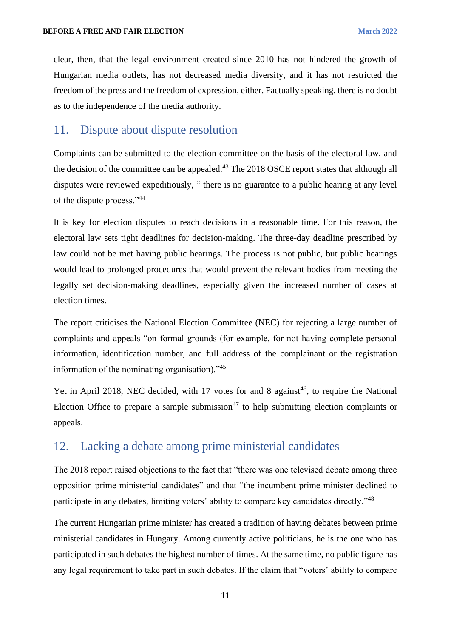clear, then, that the legal environment created since 2010 has not hindered the growth of Hungarian media outlets, has not decreased media diversity, and it has not restricted the freedom of the press and the freedom of expression, either. Factually speaking, there is no doubt as to the independence of the media authority.

### <span id="page-11-0"></span>11. Dispute about dispute resolution

Complaints can be submitted to the election committee on the basis of the electoral law, and the decision of the committee can be appealed.<sup>43</sup> The 2018 OSCE report states that although all disputes were reviewed expeditiously, " there is no guarantee to a public hearing at any level of the dispute process."<sup>44</sup>

It is key for election disputes to reach decisions in a reasonable time. For this reason, the electoral law sets tight deadlines for decision-making. The three-day deadline prescribed by law could not be met having public hearings. The process is not public, but public hearings would lead to prolonged procedures that would prevent the relevant bodies from meeting the legally set decision-making deadlines, especially given the increased number of cases at election times.

The report criticises the National Election Committee (NEC) for rejecting a large number of complaints and appeals "on formal grounds (for example, for not having complete personal information, identification number, and full address of the complainant or the registration information of the nominating organisation)."<sup>45</sup>

Yet in April 2018, NEC decided, with 17 votes for and 8 against<sup>46</sup>, to require the National Election Office to prepare a sample submission<sup>47</sup> to help submitting election complaints or appeals.

# <span id="page-11-1"></span>12. Lacking a debate among prime ministerial candidates

The 2018 report raised objections to the fact that "there was one televised debate among three opposition prime ministerial candidates" and that "the incumbent prime minister declined to participate in any debates, limiting voters' ability to compare key candidates directly."<sup>48</sup>

The current Hungarian prime minister has created a tradition of having debates between prime ministerial candidates in Hungary. Among currently active politicians, he is the one who has participated in such debates the highest number of times. At the same time, no public figure has any legal requirement to take part in such debates. If the claim that "voters' ability to compare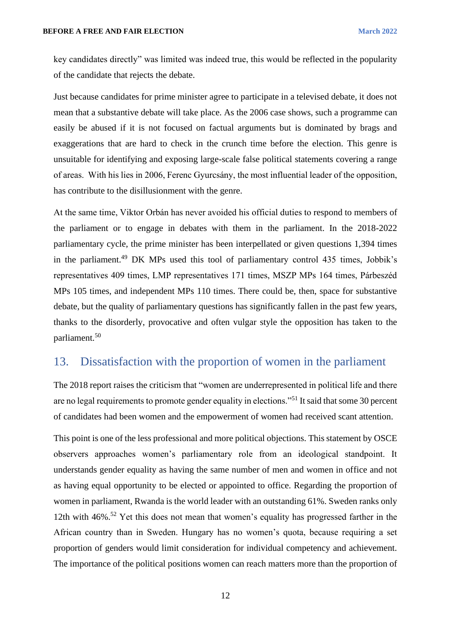key candidates directly" was limited was indeed true, this would be reflected in the popularity of the candidate that rejects the debate.

Just because candidates for prime minister agree to participate in a televised debate, it does not mean that a substantive debate will take place. As the 2006 case shows, such a programme can easily be abused if it is not focused on factual arguments but is dominated by brags and exaggerations that are hard to check in the crunch time before the election. This genre is unsuitable for identifying and exposing large-scale false political statements covering a range of areas. With his lies in 2006, Ferenc Gyurcsány, the most influential leader of the opposition, has contribute to the disillusionment with the genre.

At the same time, Viktor Orbán has never avoided his official duties to respond to members of the parliament or to engage in debates with them in the parliament. In the 2018-2022 parliamentary cycle, the prime minister has been interpellated or given questions 1,394 times in the parliament.<sup>49</sup> DK MPs used this tool of parliamentary control 435 times, Jobbik's representatives 409 times, LMP representatives 171 times, MSZP MPs 164 times, Párbeszéd MPs 105 times, and independent MPs 110 times. There could be, then, space for substantive debate, but the quality of parliamentary questions has significantly fallen in the past few years, thanks to the disorderly, provocative and often vulgar style the opposition has taken to the parliament.<sup>50</sup>

## <span id="page-12-0"></span>13. Dissatisfaction with the proportion of women in the parliament

The 2018 report raises the criticism that "women are underrepresented in political life and there are no legal requirements to promote gender equality in elections."<sup>51</sup> It said that some 30 percent of candidates had been women and the empowerment of women had received scant attention.

This point is one of the less professional and more political objections. This statement by OSCE observers approaches women's parliamentary role from an ideological standpoint. It understands gender equality as having the same number of men and women in office and not as having equal opportunity to be elected or appointed to office. Regarding the proportion of women in parliament, Rwanda is the world leader with an outstanding 61%. Sweden ranks only 12th with 46%.<sup>52</sup> Yet this does not mean that women's equality has progressed farther in the African country than in Sweden. Hungary has no women's quota, because requiring a set proportion of genders would limit consideration for individual competency and achievement. The importance of the political positions women can reach matters more than the proportion of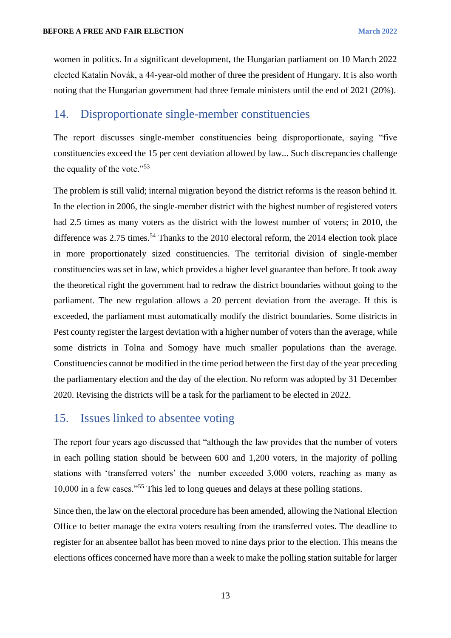women in politics. In a significant development, the Hungarian parliament on 10 March 2022 elected Katalin Novák, a 44-year-old mother of three the president of Hungary. It is also worth noting that the Hungarian government had three female ministers until the end of 2021 (20%).

#### <span id="page-13-0"></span>14. Disproportionate single-member constituencies

The report discusses single-member constituencies being disproportionate, saying "five constituencies exceed the 15 per cent deviation allowed by law... Such discrepancies challenge the equality of the vote."<sup>53</sup>

The problem is still valid; internal migration beyond the district reforms is the reason behind it. In the election in 2006, the single-member district with the highest number of registered voters had 2.5 times as many voters as the district with the lowest number of voters; in 2010, the difference was  $2.75$  times.<sup>54</sup> Thanks to the  $2010$  electoral reform, the  $2014$  election took place in more proportionately sized constituencies. The territorial division of single-member constituencies was set in law, which provides a higher level guarantee than before. It took away the theoretical right the government had to redraw the district boundaries without going to the parliament. The new regulation allows a 20 percent deviation from the average. If this is exceeded, the parliament must automatically modify the district boundaries. Some districts in Pest county register the largest deviation with a higher number of voters than the average, while some districts in Tolna and Somogy have much smaller populations than the average. Constituencies cannot be modified in the time period between the first day of the year preceding the parliamentary election and the day of the election. No reform was adopted by 31 December 2020. Revising the districts will be a task for the parliament to be elected in 2022.

#### <span id="page-13-1"></span>15. Issues linked to absentee voting

The report four years ago discussed that "although the law provides that the number of voters in each polling station should be between 600 and 1,200 voters, in the majority of polling stations with 'transferred voters' the number exceeded 3,000 voters, reaching as many as 10,000 in a few cases."<sup>55</sup> This led to long queues and delays at these polling stations.

Since then, the law on the electoral procedure has been amended, allowing the National Election Office to better manage the extra voters resulting from the transferred votes. The deadline to register for an absentee ballot has been moved to nine days prior to the election. This means the elections offices concerned have more than a week to make the polling station suitable for larger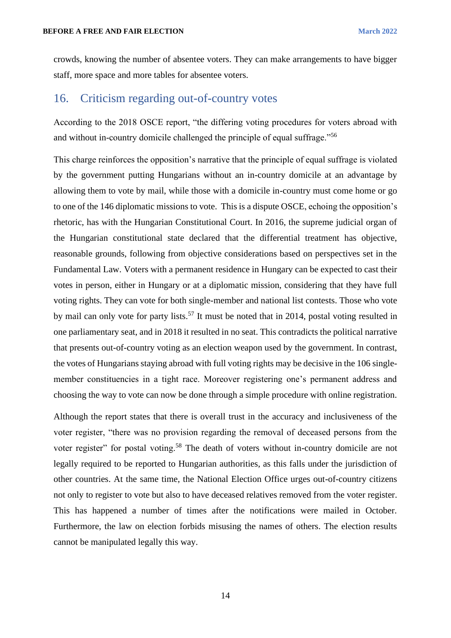crowds, knowing the number of absentee voters. They can make arrangements to have bigger staff, more space and more tables for absentee voters.

#### <span id="page-14-0"></span>16. Criticism regarding out-of-country votes

According to the 2018 OSCE report, "the differing voting procedures for voters abroad with and without in-country domicile challenged the principle of equal suffrage."<sup>56</sup>

This charge reinforces the opposition's narrative that the principle of equal suffrage is violated by the government putting Hungarians without an in-country domicile at an advantage by allowing them to vote by mail, while those with a domicile in-country must come home or go to one of the 146 diplomatic missions to vote. This is a dispute OSCE, echoing the opposition's rhetoric, has with the Hungarian Constitutional Court. In 2016, the supreme judicial organ of the Hungarian constitutional state declared that the differential treatment has objective, reasonable grounds, following from objective considerations based on perspectives set in the Fundamental Law. Voters with a permanent residence in Hungary can be expected to cast their votes in person, either in Hungary or at a diplomatic mission, considering that they have full voting rights. They can vote for both single-member and national list contests. Those who vote by mail can only vote for party lists.<sup>57</sup> It must be noted that in 2014, postal voting resulted in one parliamentary seat, and in 2018 it resulted in no seat. This contradicts the political narrative that presents out-of-country voting as an election weapon used by the government. In contrast, the votes of Hungarians staying abroad with full voting rights may be decisive in the 106 singlemember constituencies in a tight race. Moreover registering one's permanent address and choosing the way to vote can now be done through a simple procedure with online registration.

Although the report states that there is overall trust in the accuracy and inclusiveness of the voter register, "there was no provision regarding the removal of deceased persons from the voter register" for postal voting.<sup>58</sup> The death of voters without in-country domicile are not legally required to be reported to Hungarian authorities, as this falls under the jurisdiction of other countries. At the same time, the National Election Office urges out-of-country citizens not only to register to vote but also to have deceased relatives removed from the voter register. This has happened a number of times after the notifications were mailed in October. Furthermore, the law on election forbids misusing the names of others. The election results cannot be manipulated legally this way.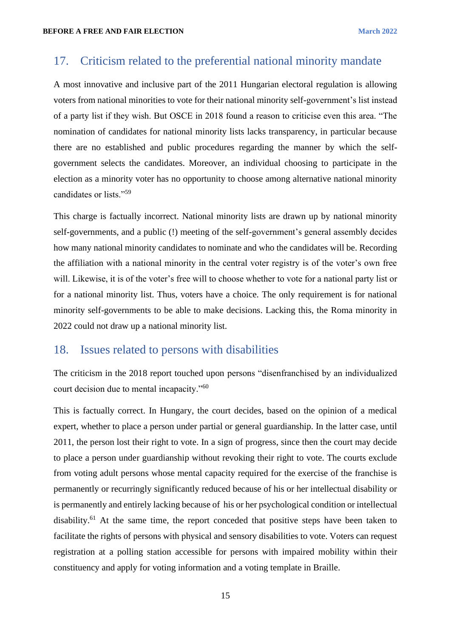## <span id="page-15-0"></span>17. Criticism related to the preferential national minority mandate

A most innovative and inclusive part of the 2011 Hungarian electoral regulation is allowing voters from national minorities to vote for their national minority self-government's list instead of a party list if they wish. But OSCE in 2018 found a reason to criticise even this area. "The nomination of candidates for national minority lists lacks transparency, in particular because there are no established and public procedures regarding the manner by which the selfgovernment selects the candidates. Moreover, an individual choosing to participate in the election as a minority voter has no opportunity to choose among alternative national minority candidates or lists."<sup>59</sup>

This charge is factually incorrect. National minority lists are drawn up by national minority self-governments, and a public (!) meeting of the self-government's general assembly decides how many national minority candidates to nominate and who the candidates will be. Recording the affiliation with a national minority in the central voter registry is of the voter's own free will. Likewise, it is of the voter's free will to choose whether to vote for a national party list or for a national minority list. Thus, voters have a choice. The only requirement is for national minority self-governments to be able to make decisions. Lacking this, the Roma minority in 2022 could not draw up a national minority list.

#### <span id="page-15-1"></span>18. Issues related to persons with disabilities

The criticism in the 2018 report touched upon persons "disenfranchised by an individualized court decision due to mental incapacity."<sup>60</sup>

This is factually correct. In Hungary, the court decides, based on the opinion of a medical expert, whether to place a person under partial or general guardianship. In the latter case, until 2011, the person lost their right to vote. In a sign of progress, since then the court may decide to place a person under guardianship without revoking their right to vote. The courts exclude from voting adult persons whose mental capacity required for the exercise of the franchise is permanently or recurringly significantly reduced because of his or her intellectual disability or is permanently and entirely lacking because of his or her psychological condition or intellectual disability.<sup>61</sup> At the same time, the report conceded that positive steps have been taken to facilitate the rights of persons with physical and sensory disabilities to vote. Voters can request registration at a polling station accessible for persons with impaired mobility within their constituency and apply for voting information and a voting template in Braille.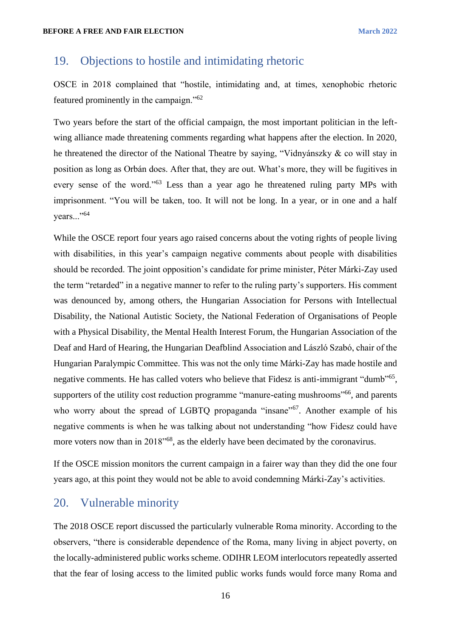## <span id="page-16-0"></span>19. Objections to hostile and intimidating rhetoric

OSCE in 2018 complained that "hostile, intimidating and, at times, xenophobic rhetoric featured prominently in the campaign."<sup>62</sup>

Two years before the start of the official campaign, the most important politician in the leftwing alliance made threatening comments regarding what happens after the election. In 2020, he threatened the director of the National Theatre by saying, "Vidnyánszky & co will stay in position as long as Orbán does. After that, they are out. What's more, they will be fugitives in every sense of the word."<sup>63</sup> Less than a year ago he threatened ruling party MPs with imprisonment. "You will be taken, too. It will not be long. In a year, or in one and a half years..."<sup>64</sup>

While the OSCE report four years ago raised concerns about the voting rights of people living with disabilities, in this year's campaign negative comments about people with disabilities should be recorded. The joint opposition's candidate for prime minister, Péter Márki-Zay used the term "retarded" in a negative manner to refer to the ruling party's supporters. His comment was denounced by, among others, the Hungarian Association for Persons with Intellectual Disability, the National Autistic Society, the National Federation of Organisations of People with a Physical Disability, the Mental Health Interest Forum, the Hungarian Association of the Deaf and Hard of Hearing, the Hungarian Deafblind Association and László Szabó, chair of the Hungarian Paralympic Committee. This was not the only time Márki-Zay has made hostile and negative comments. He has called voters who believe that Fidesz is anti-immigrant "dumb"<sup>65</sup>, supporters of the utility cost reduction programme "manure-eating mushrooms"<sup>66</sup>, and parents who worry about the spread of LGBTQ propaganda "insane"<sup>67</sup>. Another example of his negative comments is when he was talking about not understanding "how Fidesz could have more voters now than in 2018<sup>"68</sup>, as the elderly have been decimated by the coronavirus.

If the OSCE mission monitors the current campaign in a fairer way than they did the one four years ago, at this point they would not be able to avoid condemning Márki-Zay's activities.

### <span id="page-16-1"></span>20. Vulnerable minority

The 2018 OSCE report discussed the particularly vulnerable Roma minority. According to the observers, "there is considerable dependence of the Roma, many living in abject poverty, on the locally-administered public works scheme. ODIHR LEOM interlocutors repeatedly asserted that the fear of losing access to the limited public works funds would force many Roma and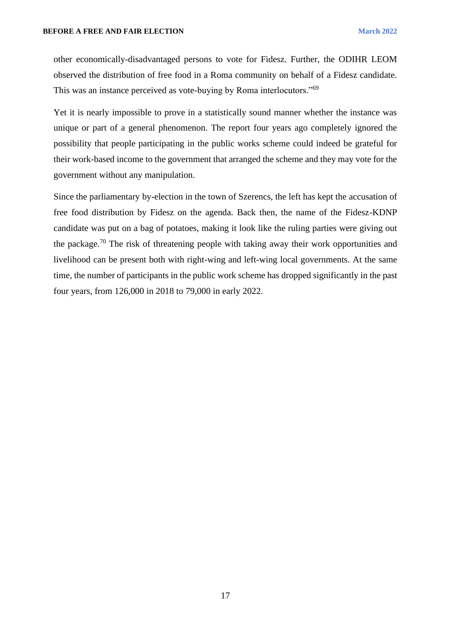other economically-disadvantaged persons to vote for Fidesz. Further, the ODIHR LEOM observed the distribution of free food in a Roma community on behalf of a Fidesz candidate. This was an instance perceived as vote-buying by Roma interlocutors."<sup>69</sup>

Yet it is nearly impossible to prove in a statistically sound manner whether the instance was unique or part of a general phenomenon. The report four years ago completely ignored the possibility that people participating in the public works scheme could indeed be grateful for their work-based income to the government that arranged the scheme and they may vote for the government without any manipulation.

Since the parliamentary by-election in the town of Szerencs, the left has kept the accusation of free food distribution by Fidesz on the agenda. Back then, the name of the Fidesz-KDNP candidate was put on a bag of potatoes, making it look like the ruling parties were giving out the package.<sup>70</sup> The risk of threatening people with taking away their work opportunities and livelihood can be present both with right-wing and left-wing local governments. At the same time, the number of participants in the public work scheme has dropped significantly in the past four years, from 126,000 in 2018 to 79,000 in early 2022.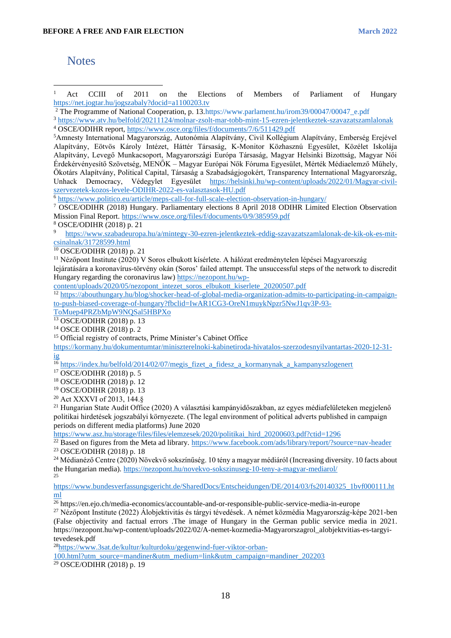#### <span id="page-18-0"></span>**Notes**

<sup>1</sup> Act CCIII of 2011 on the Elections of Members of Parliament of Hungary <https://net.jogtar.hu/jogszabaly?docid=a1100203.tv>

<sup>2</sup> The Programme of National Cooperation, p. 13[.https://www.parlament.hu/irom39/00047/00047\\_e.pdf](https://www.parlament.hu/irom39/00047/00047_e.pdf)

<sup>3</sup> <https://www.atv.hu/belfold/20211124/molnar-zsolt-mar-tobb-mint-15-ezren-jelentkeztek-szavazatszamlalonak> <sup>4</sup> OSCE/ODIHR report,<https://www.osce.org/files/f/documents/7/6/511429.pdf>

<sup>5</sup>Amnesty International Magyarország, Autonómia Alapítvány, Civil Kollégium Alapítvány, Emberség Erejével Alapítvány, Eötvös Károly Intézet, Háttér Társaság, K-Monitor Közhasznú Egyesület, Közélet Iskolája Alapítvány, Levegő Munkacsoport, Magyarországi Európa Társaság, Magyar Helsinki Bizottság, Magyar Női Érdekérvényesítő Szövetség, MENŐK – Magyar Európai Nők Fóruma Egyesület, Mérték Médiaelemző Műhely, Ökotárs Alapítvány, Political Capital, Társaság a Szabadságjogokért, Transparency International Magyarország, Unhack Democracy, Védegylet Egyesület [https://helsinki.hu/wp-content/uploads/2022/01/Magyar-civil](https://helsinki.hu/wp-content/uploads/2022/01/Magyar-civil-szervezetek-kozos-levele-ODIHR-2022-es-valasztasok-HU.pdf)[szervezetek-kozos-levele-ODIHR-2022-es-valasztasok-HU.pdf](https://helsinki.hu/wp-content/uploads/2022/01/Magyar-civil-szervezetek-kozos-levele-ODIHR-2022-es-valasztasok-HU.pdf)

<sup>6</sup> <https://www.politico.eu/article/meps-call-for-full-scale-election-observation-in-hungary/>

<sup>7</sup> OSCE/ODIHR (2018) Hungary. Parliamentary elections 8 April 2018 ODIHR Limited Election Observation Mission Final Report.<https://www.osce.org/files/f/documents/0/9/385959.pdf>

 $\frac{8}{9}$  OSCE/ODIHR (2018) p. 21

<sup>9</sup> [https://www.szabadeuropa.hu/a/mintegy-30-ezren-jelentkeztek-eddig-szavazatszamlalonak-de-kik-ok-es-mit](https://www.szabadeuropa.hu/a/mintegy-30-ezren-jelentkeztek-eddig-szavazatszamlalonak-de-kik-ok-es-mit-csinalnak/31728599.html)[csinalnak/31728599.html](https://www.szabadeuropa.hu/a/mintegy-30-ezren-jelentkeztek-eddig-szavazatszamlalonak-de-kik-ok-es-mit-csinalnak/31728599.html)

<sup>10</sup> OSCE/ODIHR (2018) p. 21

<sup>11</sup> Nézőpont Institute (2020) V Soros elbukott kísérlete. A hálózat eredménytelen lépései Magyarország lejáratására a koronavírus-törvény okán (Soros' failed attempt. The unsuccessful steps of the network to discredit Hungary regarding the coronavirus law) [https://nezopont.hu/wp-](https://nezopont.hu/wp-content/uploads/2020/05/nezopont_intezet_soros_elbukott_kiserlete_20200507.pdf)

[content/uploads/2020/05/nezopont\\_intezet\\_soros\\_elbukott\\_kiserlete\\_20200507.pdf](https://nezopont.hu/wp-content/uploads/2020/05/nezopont_intezet_soros_elbukott_kiserlete_20200507.pdf)

<sup>12</sup> [https://abouthungary.hu/blog/shocker-head-of-global-media-organization-admits-to-participating-in-campaign](https://abouthungary.hu/blog/shocker-head-of-global-media-organization-admits-to-participating-in-campaign-to-push-biased-coverage-of-hungary?fbclid=IwAR1CG3-OreN1muykNpzr5NwJ1qv3P-93-ToMuep4PRZbMpW9NQSal5HBPXo)[to-push-biased-coverage-of-hungary?fbclid=IwAR1CG3-OreN1muykNpzr5NwJ1qv3P-93-](https://abouthungary.hu/blog/shocker-head-of-global-media-organization-admits-to-participating-in-campaign-to-push-biased-coverage-of-hungary?fbclid=IwAR1CG3-OreN1muykNpzr5NwJ1qv3P-93-ToMuep4PRZbMpW9NQSal5HBPXo)

[ToMuep4PRZbMpW9NQSal5HBPXo](https://abouthungary.hu/blog/shocker-head-of-global-media-organization-admits-to-participating-in-campaign-to-push-biased-coverage-of-hungary?fbclid=IwAR1CG3-OreN1muykNpzr5NwJ1qv3P-93-ToMuep4PRZbMpW9NQSal5HBPXo)

<sup>13</sup> OSCE/ODIHR (2018) p. 13

<sup>14</sup> OSCE ODIHR (2018) p. 2

<sup>15</sup> Official registry of contracts, Prime Minister's Cabinet Office

[https://kormany.hu/dokumentumtar/miniszterelnoki-kabinetiroda-hivatalos-szerzodesnyilvantartas-2020-12-31](https://kormany.hu/dokumentumtar/miniszterelnoki-kabinetiroda-hivatalos-szerzodesnyilvantartas-2020-12-31-ig) [ig](https://kormany.hu/dokumentumtar/miniszterelnoki-kabinetiroda-hivatalos-szerzodesnyilvantartas-2020-12-31-ig)

<sup>16</sup> [https://index.hu/belfold/2014/02/07/megis\\_fizet\\_a\\_fidesz\\_a\\_kormanynak\\_a\\_kampanyszlogenert](https://index.hu/belfold/2014/02/07/megis_fizet_a_fidesz_a_kormanynak_a_kampanyszlogenert)

<sup>17</sup> OSCE/ODIHR (2018) p. 5

<sup>18</sup> OSCE/ODIHR (2018) p. 12

<sup>19</sup> OSCE/ODIHR (2018) p. 13

<sup>20</sup> Act XXXVI of 2013, 144.§

 $^{21}$  Hungarian State Audit Office (2020) A választási kampányidőszakban, az egyes médiafelületeken megjelenő politikai hirdetések jogszabályi környezete. (The legal environment of political adverts published in campaign periods on different media platforms) June 2020

[https://www.asz.hu/storage/files/files/elemzesek/2020/politikai\\_hird\\_20200603.pdf?ctid=1296](https://www.asz.hu/storage/files/files/elemzesek/2020/politikai_hird_20200603.pdf?ctid=1296)

<sup>22</sup> Based on figures from the Meta ad library.<https://www.facebook.com/ads/library/report/?source=nav-header> <sup>23</sup> OSCE/ODIHR (2018) p. 18

<sup>24</sup> Médianéző Centre (2020) Növekvő sokszínűség. 10 tény a magyar médiáról (Increasing diversity. 10 facts about the Hungarian media).<https://nezopont.hu/novekvo-sokszinuseg-10-teny-a-magyar-mediarol/> 25

[https://www.bundesverfassungsgericht.de/SharedDocs/Entscheidungen/DE/2014/03/fs20140325\\_1bvf000111.ht](https://www.bundesverfassungsgericht.de/SharedDocs/Entscheidungen/DE/2014/03/fs20140325_1bvf000111.html) [ml](https://www.bundesverfassungsgericht.de/SharedDocs/Entscheidungen/DE/2014/03/fs20140325_1bvf000111.html)

<sup>26</sup> https://en.ejo.ch/media-economics/accountable-and-or-responsible-public-service-media-in-europe

<sup>27</sup> Nézőpont Institute (2022) Álobjektivitás és tárgyi tévedések. A német közmédia Magyarország-képe 2021-ben (False objectivity and factual errors .The image of Hungary in the German public service media in 2021. https://nezopont.hu/wp-content/uploads/2022/02/A-nemet-kozmedia-Magyarorszagrol\_alobjektvitias-es-targyitevedesek.pdf

28[https://www.3sat.de/kultur/kulturdoku/gegenwind-fuer-viktor-orban-](https://www.3sat.de/kultur/kulturdoku/gegenwind-fuer-viktor-orban-100.html?utm_source=mandiner&utm_medium=link&utm_campaign=mandiner_202203)

[100.html?utm\\_source=mandiner&utm\\_medium=link&utm\\_campaign=mandiner\\_202203](https://www.3sat.de/kultur/kulturdoku/gegenwind-fuer-viktor-orban-100.html?utm_source=mandiner&utm_medium=link&utm_campaign=mandiner_202203)

<sup>29</sup> OSCE/ODIHR (2018) p. 19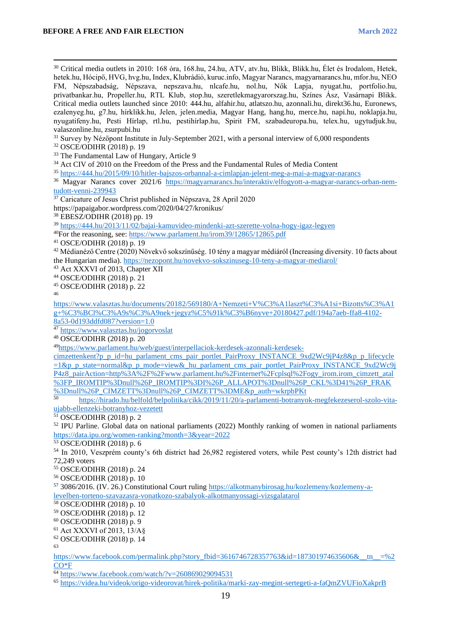<sup>30</sup> Critical media outlets in 2010: 168 óra, 168.hu, 24.hu, ATV, atv.hu, Blikk, Blikk.hu, Élet és Irodalom, Hetek, hetek.hu, Hócipő, HVG, hvg.hu, Index, Klubrádió, kuruc.info, Magyar Narancs, magyarnarancs.hu, mfor.hu, NEO FM, Népszabadság, Népszava, nepszava.hu, nlcafe.hu, nol.hu, Nők Lapja, nyugat.hu, portfolio.hu, privatbankar.hu, Propeller.hu, RTL Klub, stop.hu, szeretlekmagyarorszag.hu, Színes Ász, Vasárnapi Blikk. Critical media outlets launched since 2010: 444.hu, alfahir.hu, atlatszo.hu, azonnali.hu, direkt36.hu, Euronews, ezalenyeg.hu, g7.hu, hírklikk.hu, Jelen, jelen.media, Magyar Hang, hang.hu, merce.hu, napi.hu, noklapja.hu, nyugatifeny.hu, Pesti Hírlap, rtl.hu, pestihírlap.hu, Spirit FM, szabadeuropa.hu, telex.hu, ugytudjuk.hu, valaszonline.hu, zsurpubi.hu <sup>31</sup> Survey by Nézőpont Institute in July-September 2021, with a personal interview of 6,000 respondents <sup>32</sup> OSCE/ODIHR (2018) p. 19 <sup>33</sup> The Fundamental Law of Hungary, Article 9 <sup>34</sup> Act CIV of 2010 on the Freedom of the Press and the Fundamental Rules of Media Content <sup>35</sup> <https://444.hu/2015/09/10/hitler-bajszos-orbannal-a-cimlapjan-jelent-meg-a-mai-a-magyar-narancs> <sup>36</sup> Magyar Narancs cover 2021/6 [https://magyarnarancs.hu/interaktiv/elfogyott-a-magyar-narancs-orban-nem](https://magyarnarancs.hu/interaktiv/elfogyott-a-magyar-narancs-orban-nem-tudott-venni-239943)[tudott-venni-239943](https://magyarnarancs.hu/interaktiv/elfogyott-a-magyar-narancs-orban-nem-tudott-venni-239943) <sup>37</sup> Caricature of Jesus Christ published in Népszava, 28 April 2020 https://papaigabor.wordpress.com/2020/04/27/kronikus/ <sup>38</sup> EBESZ/ODIHR (2018) pp. 19 <sup>39</sup> <https://444.hu/2013/11/02/bajai-kamuvideo-mindenki-azt-szerette-volna-hogy-igaz-legyen> <sup>40</sup>For the reasoning, see:<https://www.parlament.hu/irom39/12865/12865.pdf> <sup>41</sup> OSCE/ODIHR (2018) p. 19 <sup>42</sup> Médianéző Centre (2020) Növekvő sokszínűség. 10 tény a magyar médiáról (Increasing diversity. 10 facts about the Hungarian media).<https://nezopont.hu/novekvo-sokszinuseg-10-teny-a-magyar-mediarol/> <sup>43</sup> Act XXXVI of 2013, Chapter XII <sup>44</sup> OSCE/ODIHR (2018) p. 21 <sup>45</sup> OSCE/ODIHR (2018) p. 22 46 [https://www.valasztas.hu/documents/20182/569180/A+Nemzeti+V%C3%A1laszt%C3%A1si+Bizotts%C3%A1](https://www.valasztas.hu/documents/20182/569180/A+Nemzeti+V%C3%A1laszt%C3%A1si+Bizotts%C3%A1g+%C3%BCl%C3%A9s%C3%A9nek+jegyz%C5%91k%C3%B6nyve+20180427.pdf/194a7aeb-ffa8-4102-8a53-0d193ddfd087?version=1.0) [g+%C3%BCl%C3%A9s%C3%A9nek+jegyz%C5%91k%C3%B6nyve+20180427.pdf/194a7aeb-ffa8-4102-](https://www.valasztas.hu/documents/20182/569180/A+Nemzeti+V%C3%A1laszt%C3%A1si+Bizotts%C3%A1g+%C3%BCl%C3%A9s%C3%A9nek+jegyz%C5%91k%C3%B6nyve+20180427.pdf/194a7aeb-ffa8-4102-8a53-0d193ddfd087?version=1.0) [8a53-0d193ddfd087?version=1.0](https://www.valasztas.hu/documents/20182/569180/A+Nemzeti+V%C3%A1laszt%C3%A1si+Bizotts%C3%A1g+%C3%BCl%C3%A9s%C3%A9nek+jegyz%C5%91k%C3%B6nyve+20180427.pdf/194a7aeb-ffa8-4102-8a53-0d193ddfd087?version=1.0) <sup>47</sup> <https://www.valasztas.hu/jogorvoslat> <sup>48</sup> OSCE/ODIHR (2018) p. 20 49[https://www.parlament.hu/web/guest/interpellaciok-kerdesek-azonnali-kerdesek](https://www.parlament.hu/web/guest/interpellaciok-kerdesek-azonnali-kerdesek-cimzettenkent?p_p_id=hu_parlament_cms_pair_portlet_PairProxy_INSTANCE_9xd2Wc9jP4z8&amp;p_p_lifecycle=1&amp;p_p_state=normal&amp;p_p_mode=view&amp;_hu_parlament_cms_pair_portlet_PairProxy_INSTANCE_9xd2Wc9jP4z8_pairAction=http%3A%2F%2Fwww.parlament.hu%2Finternet%2Fcplsql%2Fogy_irom.irom_cimzett_atal%3FP_IROMTIP%3Dnull%26P_IROMTIP%3DI%26P_ALLAPOT%3Dnull%26P_CKL%3D41%26P_FRAK%3Dnull%26P_CIMZETT%3Dnull%26P_CIMZETT%3DME&amp;p_auth=wkrpbPKt)[cimzettenkent?p\\_p\\_id=hu\\_parlament\\_cms\\_pair\\_portlet\\_PairProxy\\_INSTANCE\\_9xd2Wc9jP4z8&p\\_p\\_lifecycle](https://www.parlament.hu/web/guest/interpellaciok-kerdesek-azonnali-kerdesek-cimzettenkent?p_p_id=hu_parlament_cms_pair_portlet_PairProxy_INSTANCE_9xd2Wc9jP4z8&amp;p_p_lifecycle=1&amp;p_p_state=normal&amp;p_p_mode=view&amp;_hu_parlament_cms_pair_portlet_PairProxy_INSTANCE_9xd2Wc9jP4z8_pairAction=http%3A%2F%2Fwww.parlament.hu%2Finternet%2Fcplsql%2Fogy_irom.irom_cimzett_atal%3FP_IROMTIP%3Dnull%26P_IROMTIP%3DI%26P_ALLAPOT%3Dnull%26P_CKL%3D41%26P_FRAK%3Dnull%26P_CIMZETT%3Dnull%26P_CIMZETT%3DME&amp;p_auth=wkrpbPKt) [=1&p\\_p\\_state=normal&p\\_p\\_mode=view&\\_hu\\_parlament\\_cms\\_pair\\_portlet\\_PairProxy\\_INSTANCE\\_9xd2Wc9j](https://www.parlament.hu/web/guest/interpellaciok-kerdesek-azonnali-kerdesek-cimzettenkent?p_p_id=hu_parlament_cms_pair_portlet_PairProxy_INSTANCE_9xd2Wc9jP4z8&amp;p_p_lifecycle=1&amp;p_p_state=normal&amp;p_p_mode=view&amp;_hu_parlament_cms_pair_portlet_PairProxy_INSTANCE_9xd2Wc9jP4z8_pairAction=http%3A%2F%2Fwww.parlament.hu%2Finternet%2Fcplsql%2Fogy_irom.irom_cimzett_atal%3FP_IROMTIP%3Dnull%26P_IROMTIP%3DI%26P_ALLAPOT%3Dnull%26P_CKL%3D41%26P_FRAK%3Dnull%26P_CIMZETT%3Dnull%26P_CIMZETT%3DME&amp;p_auth=wkrpbPKt) [P4z8\\_pairAction=http%3A%2F%2Fwww.parlament.hu%2Finternet%2Fcplsql%2Fogy\\_irom.irom\\_cimzett\\_atal](https://www.parlament.hu/web/guest/interpellaciok-kerdesek-azonnali-kerdesek-cimzettenkent?p_p_id=hu_parlament_cms_pair_portlet_PairProxy_INSTANCE_9xd2Wc9jP4z8&amp;p_p_lifecycle=1&amp;p_p_state=normal&amp;p_p_mode=view&amp;_hu_parlament_cms_pair_portlet_PairProxy_INSTANCE_9xd2Wc9jP4z8_pairAction=http%3A%2F%2Fwww.parlament.hu%2Finternet%2Fcplsql%2Fogy_irom.irom_cimzett_atal%3FP_IROMTIP%3Dnull%26P_IROMTIP%3DI%26P_ALLAPOT%3Dnull%26P_CKL%3D41%26P_FRAK%3Dnull%26P_CIMZETT%3Dnull%26P_CIMZETT%3DME&amp;p_auth=wkrpbPKt) [%3FP\\_IROMTIP%3Dnull%26P\\_IROMTIP%3DI%26P\\_ALLAPOT%3Dnull%26P\\_CKL%3D41%26P\\_FRAK](https://www.parlament.hu/web/guest/interpellaciok-kerdesek-azonnali-kerdesek-cimzettenkent?p_p_id=hu_parlament_cms_pair_portlet_PairProxy_INSTANCE_9xd2Wc9jP4z8&amp;p_p_lifecycle=1&amp;p_p_state=normal&amp;p_p_mode=view&amp;_hu_parlament_cms_pair_portlet_PairProxy_INSTANCE_9xd2Wc9jP4z8_pairAction=http%3A%2F%2Fwww.parlament.hu%2Finternet%2Fcplsql%2Fogy_irom.irom_cimzett_atal%3FP_IROMTIP%3Dnull%26P_IROMTIP%3DI%26P_ALLAPOT%3Dnull%26P_CKL%3D41%26P_FRAK%3Dnull%26P_CIMZETT%3Dnull%26P_CIMZETT%3DME&amp;p_auth=wkrpbPKt) [%3Dnull%26P\\_CIMZETT%3Dnull%26P\\_CIMZETT%3DME&p\\_auth=wkrpbPKt](https://www.parlament.hu/web/guest/interpellaciok-kerdesek-azonnali-kerdesek-cimzettenkent?p_p_id=hu_parlament_cms_pair_portlet_PairProxy_INSTANCE_9xd2Wc9jP4z8&amp;p_p_lifecycle=1&amp;p_p_state=normal&amp;p_p_mode=view&amp;_hu_parlament_cms_pair_portlet_PairProxy_INSTANCE_9xd2Wc9jP4z8_pairAction=http%3A%2F%2Fwww.parlament.hu%2Finternet%2Fcplsql%2Fogy_irom.irom_cimzett_atal%3FP_IROMTIP%3Dnull%26P_IROMTIP%3DI%26P_ALLAPOT%3Dnull%26P_CKL%3D41%26P_FRAK%3Dnull%26P_CIMZETT%3Dnull%26P_CIMZETT%3DME&amp;p_auth=wkrpbPKt) <sup>50</sup> [https://hirado.hu/belfold/belpolitika/cikk/2019/11/20/a-parlamenti-botranyok-megfekezeserol-szolo-vita](https://hirado.hu/belfold/belpolitika/cikk/2019/11/20/a-parlamenti-botranyok-megfekezeserol-szolo-vita-ujabb-ellenzeki-botranyhoz-vezetett)[ujabb-ellenzeki-botranyhoz-vezetett](https://hirado.hu/belfold/belpolitika/cikk/2019/11/20/a-parlamenti-botranyok-megfekezeserol-szolo-vita-ujabb-ellenzeki-botranyhoz-vezetett) <sup>51</sup> OSCE/ODIHR (2018) p. 2 <sup>52</sup> IPU Parline. Global data on national parliaments (2022) Monthly ranking of women in national parliaments [https://data.ipu.org/women-ranking?month=3&year=2022](https://data.ipu.org/women-ranking?month=3&amp;year=2022) <sup>53</sup> OSCE/ODIHR (2018) p. 6 <sup>54</sup> In 2010, Veszprém county's 6th district had 26,982 registered voters, while Pest county's 12th district had 72,249 voters <sup>55</sup> OSCE/ODIHR (2018) p. 24 <sup>56</sup> OSCE/ODIHR (2018) p. 10 <sup>57</sup> 3086/2016. (IV. 26.) Constitutional Court ruling [https://alkotmanybirosag.hu/kozlemeny/kozlemeny-a](https://alkotmanybirosag.hu/kozlemeny/kozlemeny-a-levelben-torteno-szavazasra-vonatkozo-szabalyok-alkotmanyossagi-vizsgalatarol)[levelben-torteno-szavazasra-vonatkozo-szabalyok-alkotmanyossagi-vizsgalatarol](https://alkotmanybirosag.hu/kozlemeny/kozlemeny-a-levelben-torteno-szavazasra-vonatkozo-szabalyok-alkotmanyossagi-vizsgalatarol) <sup>58</sup> OSCE/ODIHR (2018) p. 10 <sup>59</sup> OSCE/ODIHR (2018) p. 12  $60$  OSCE/ODIHR (2018) p. 9 <sup>61</sup> Act XXXVI of 2013, 13/A§ <sup>62</sup> OSCE/ODIHR (2018) p. 14 63 https://www.facebook.com/permalink.php?story\_fbid=3616746728357763&id=187301974635606&\_tn\_=%2

[CO\\*F](https://www.facebook.com/permalink.php?story_fbid=3616746728357763&amp;id=187301974635606&amp;__tn__=%2CO*F)

 $\frac{64 \text{ https://www.facebook.com/watch?v=260869029094531}}{64 \text{ https://www.facebook.com/watch?v=260869029094531}}$ 

<sup>65</sup> <https://videa.hu/videok/origo-videorovat/hirek-politika/marki-zay-megint-sertegeti-a-faQmZVUFioXakprB>